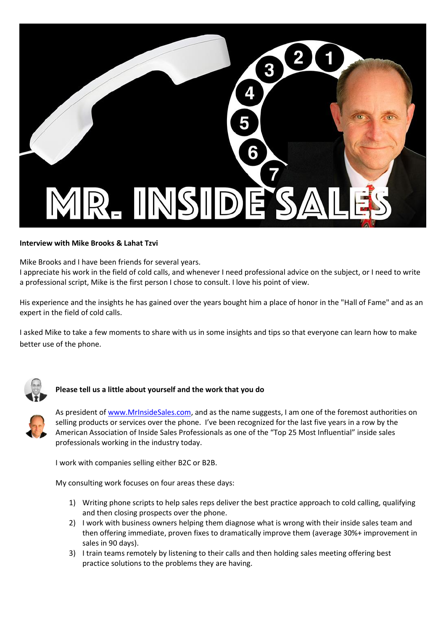

#### **Interview with Mike Brooks & Lahat Tzvi**

Mike Brooks and I have been friends for several years.

I appreciate his work in the field of cold calls, and whenever I need professional advice on the subject, or I need to write a professional script, Mike is the first person I chose to consult. I love his point of view.

His experience and the insights he has gained over the years bought him a place of honor in the "Hall of Fame" and as an expert in the field of cold calls.

I asked Mike to take a few moments to share with us in some insights and tips so that everyone can learn how to make better use of the phone.



### **Please tell us a little about yourself and the work that you do**



As president of [www.MrInsideSales.com,](http://www.mrinsidesales.com/) and as the name suggests, I am one of the foremost authorities on selling products or services over the phone. I've been recognized for the last five years in a row by the American Association of Inside Sales Professionals as one of the "Top 25 Most Influential" inside sales professionals working in the industry today.

I work with companies selling either B2C or B2B.

My consulting work focuses on four areas these days:

- 1) Writing phone scripts to help sales reps deliver the best practice approach to cold calling, qualifying and then closing prospects over the phone.
- 2) I work with business owners helping them diagnose what is wrong with their inside sales team and then offering immediate, proven fixes to dramatically improve them (average 30%+ improvement in sales in 90 days).
- 3) I train teams remotely by listening to their calls and then holding sales meeting offering best practice solutions to the problems they are having.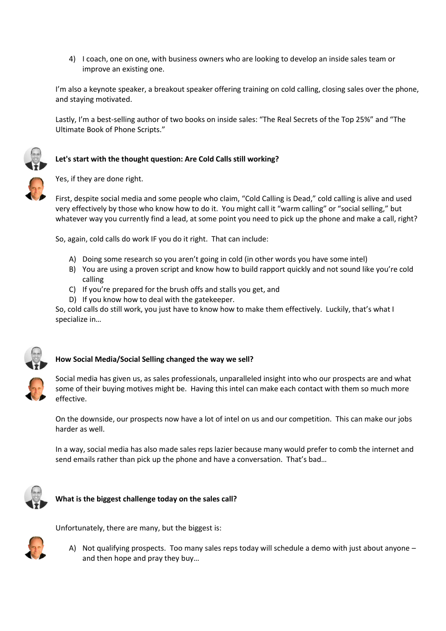4) I coach, one on one, with business owners who are looking to develop an inside sales team or improve an existing one.

I'm also a keynote speaker, a breakout speaker offering training on cold calling, closing sales over the phone, and staying motivated.

Lastly, I'm a best-selling author of two books on inside sales: "The Real Secrets of the Top 25%" and "The Ultimate Book of Phone Scripts."

## **Let's start with the thought question: Are Cold Calls still working?**

Yes, if they are done right.

First, despite social media and some people who claim, "Cold Calling is Dead," cold calling is alive and used very effectively by those who know how to do it. You might call it "warm calling" or "social selling," but whatever way you currently find a lead, at some point you need to pick up the phone and make a call, right?

So, again, cold calls do work IF you do it right. That can include:

- A) Doing some research so you aren't going in cold (in other words you have some intel)
- B) You are using a proven script and know how to build rapport quickly and not sound like you're cold calling
- C) If you're prepared for the brush offs and stalls you get, and
- D) If you know how to deal with the gatekeeper.

So, cold calls do still work, you just have to know how to make them effectively. Luckily, that's what I specialize in…



#### **How Social Media/Social Selling changed the way we sell?**

Social media has given us, as sales professionals, unparalleled insight into who our prospects are and what some of their buying motives might be. Having this intel can make each contact with them so much more effective.

On the downside, our prospects now have a lot of intel on us and our competition. This can make our jobs harder as well.

In a way, social media has also made sales reps lazier because many would prefer to comb the internet and send emails rather than pick up the phone and have a conversation. That's bad…



#### **What is the biggest challenge today on the sales call?**



- Unfortunately, there are many, but the biggest is:
	- A) Not qualifying prospects. Too many sales reps today will schedule a demo with just about anyone and then hope and pray they buy…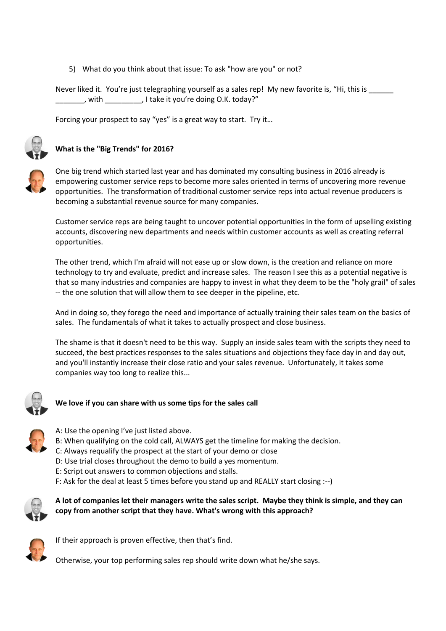5) What do you think about that issue: To ask "how are you" or not?

Never liked it. You're just telegraphing yourself as a sales rep! My new favorite is, "Hi, this is \_\_\_\_\_\_\_ \_\_\_\_\_\_\_, with \_\_\_\_\_\_\_\_, I take it you're doing O.K. today?"

Forcing your prospect to say "yes" is a great way to start. Try it…



# **What is the "Big Trends" for 2016?**



One big trend which started last year and has dominated my consulting business in 2016 already is empowering customer service reps to become more sales oriented in terms of uncovering more revenue opportunities. The transformation of traditional customer service reps into actual revenue producers is becoming a substantial revenue source for many companies.

Customer service reps are being taught to uncover potential opportunities in the form of upselling existing accounts, discovering new departments and needs within customer accounts as well as creating referral opportunities.

The other trend, which I'm afraid will not ease up or slow down, is the creation and reliance on more technology to try and evaluate, predict and increase sales. The reason I see this as a potential negative is that so many industries and companies are happy to invest in what they deem to be the "holy grail" of sales -- the one solution that will allow them to see deeper in the pipeline, etc.

And in doing so, they forego the need and importance of actually training their sales team on the basics of sales. The fundamentals of what it takes to actually prospect and close business.

The shame is that it doesn't need to be this way. Supply an inside sales team with the scripts they need to succeed, the best practices responses to the sales situations and objections they face day in and day out, and you'll instantly increase their close ratio and your sales revenue. Unfortunately, it takes some companies way too long to realize this...



# **We love if you can share with us some tips for the sales call**

- A: Use the opening I've just listed above.
- B: When qualifying on the cold call, ALWAYS get the timeline for making the decision.
- C: Always requalify the prospect at the start of your demo or close
- D: Use trial closes throughout the demo to build a yes momentum.
- E: Script out answers to common objections and stalls.
- F: Ask for the deal at least 5 times before you stand up and REALLY start closing :--)



**A lot of companies let their managers write the sales script. Maybe they think is simple, and they can copy from another script that they have. What's wrong with this approach?**



If their approach is proven effective, then that's find.

Otherwise, your top performing sales rep should write down what he/she says.